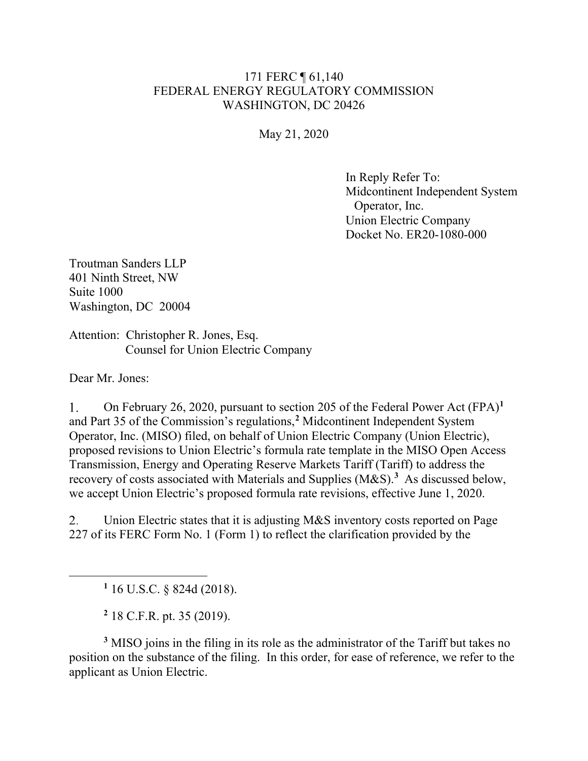## 171 FERC ¶ 61,140 FEDERAL ENERGY REGULATORY COMMISSION WASHINGTON, DC 20426

May 21, 2020

In Reply Refer To: Midcontinent Independent System Operator, Inc. Union Electric Company Docket No. ER20-1080-000

Troutman Sanders LLP 401 Ninth Street, NW Suite 1000 Washington, DC 20004

Attention: Christopher R. Jones, Esq. Counsel for Union Electric Company

Dear Mr. Jones:

1. On February 26, 2020, pursuant to section 205 of the Federal Power Act (FPA)**[1](#page-0-0)** and Part 35 of the Commission's regulations,**[2](#page-0-1)** Midcontinent Independent System Operator, Inc. (MISO) filed, on behalf of Union Electric Company (Union Electric), proposed revisions to Union Electric's formula rate template in the MISO Open Access Transmission, Energy and Operating Reserve Markets Tariff (Tariff) to address the recovery of costs associated with Materials and Supplies (M&S).**[3](#page-0-2)** As discussed below, we accept Union Electric's proposed formula rate revisions, effective June 1, 2020.

 $2.$ Union Electric states that it is adjusting M&S inventory costs reported on Page 227 of its FERC Form No. 1 (Form 1) to reflect the clarification provided by the

**<sup>1</sup>** 16 U.S.C. § 824d (2018).

**<sup>2</sup>** 18 C.F.R. pt. 35 (2019).

<span id="page-0-2"></span><span id="page-0-1"></span><span id="page-0-0"></span>**<sup>3</sup>** MISO joins in the filing in its role as the administrator of the Tariff but takes no position on the substance of the filing. In this order, for ease of reference, we refer to the applicant as Union Electric.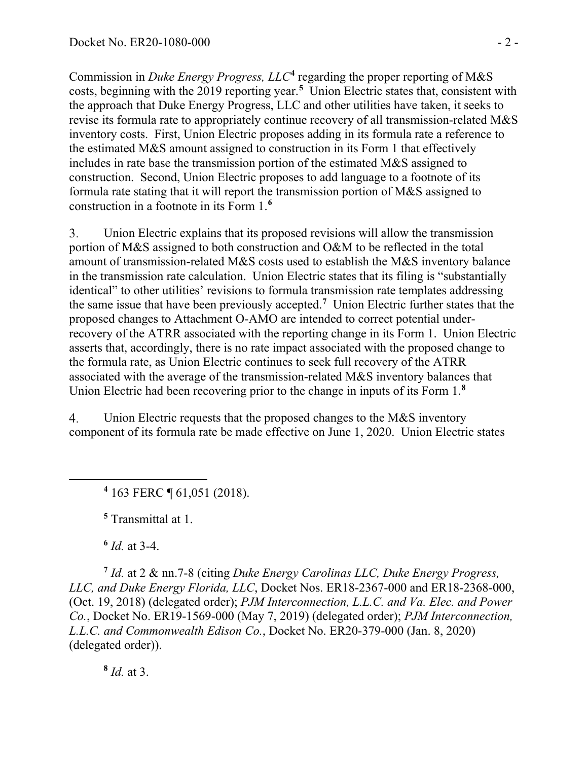Commission in *Duke Energy Progress, LLC***[4](#page-1-0)** regarding the proper reporting of M&S costs, beginning with the 2019 reporting year.**[5](#page-1-1)** Union Electric states that, consistent with the approach that Duke Energy Progress, LLC and other utilities have taken, it seeks to revise its formula rate to appropriately continue recovery of all transmission-related M&S inventory costs. First, Union Electric proposes adding in its formula rate a reference to the estimated M&S amount assigned to construction in its Form 1 that effectively includes in rate base the transmission portion of the estimated M&S assigned to construction. Second, Union Electric proposes to add language to a footnote of its formula rate stating that it will report the transmission portion of M&S assigned to construction in a footnote in its Form 1.**[6](#page-1-2)**

3. Union Electric explains that its proposed revisions will allow the transmission portion of M&S assigned to both construction and O&M to be reflected in the total amount of transmission-related M&S costs used to establish the M&S inventory balance in the transmission rate calculation. Union Electric states that its filing is "substantially identical" to other utilities' revisions to formula transmission rate templates addressing the same issue that have been previously accepted.**[7](#page-1-3)** Union Electric further states that the proposed changes to Attachment O-AMO are intended to correct potential underrecovery of the ATRR associated with the reporting change in its Form 1. Union Electric asserts that, accordingly, there is no rate impact associated with the proposed change to the formula rate, as Union Electric continues to seek full recovery of the ATRR associated with the average of the transmission-related M&S inventory balances that Union Electric had been recovering prior to the change in inputs of its Form 1.**[8](#page-1-4)**

<span id="page-1-0"></span>Union Electric requests that the proposed changes to the M&S inventory  $\overline{4}$ . component of its formula rate be made effective on June 1, 2020. Union Electric states

**<sup>4</sup>** 163 FERC ¶ 61,051 (2018).

**<sup>5</sup>** Transmittal at 1.

**<sup>6</sup>** *Id.* at 3-4.

<span id="page-1-3"></span><span id="page-1-2"></span><span id="page-1-1"></span>**<sup>7</sup>** *Id.* at 2 & nn.7-8 (citing *Duke Energy Carolinas LLC, Duke Energy Progress, LLC, and Duke Energy Florida, LLC*, Docket Nos. ER18-2367-000 and ER18-2368-000, (Oct. 19, 2018) (delegated order); *PJM Interconnection, L.L.C. and Va. Elec. and Power Co.*, Docket No. ER19-1569-000 (May 7, 2019) (delegated order); *PJM Interconnection, L.L.C. and Commonwealth Edison Co.*, Docket No. ER20-379-000 (Jan. 8, 2020) (delegated order)).

<span id="page-1-4"></span>**<sup>8</sup>** *Id.* at 3.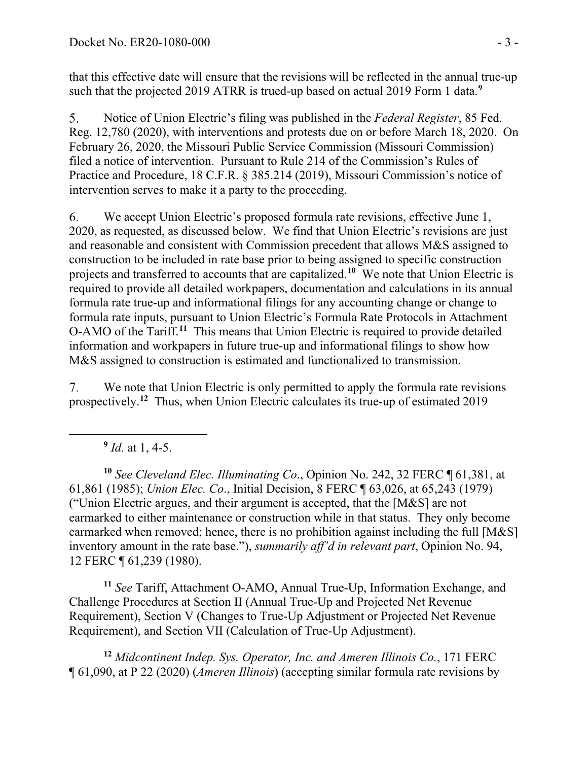that this effective date will ensure that the revisions will be reflected in the annual true-up such that the projected 2019 ATRR is trued-up based on actual 2019 Form 1 data.**[9](#page-2-0)**

Notice of Union Electric's filing was published in the *Federal Register*, 85 Fed.  $5<sub>1</sub>$ Reg. 12,780 (2020), with interventions and protests due on or before March 18, 2020. On February 26, 2020, the Missouri Public Service Commission (Missouri Commission) filed a notice of intervention. Pursuant to Rule 214 of the Commission's Rules of Practice and Procedure, 18 C.F.R. § 385.214 (2019), Missouri Commission's notice of intervention serves to make it a party to the proceeding.

6. We accept Union Electric's proposed formula rate revisions, effective June 1, 2020, as requested, as discussed below. We find that Union Electric's revisions are just and reasonable and consistent with Commission precedent that allows M&S assigned to construction to be included in rate base prior to being assigned to specific construction projects and transferred to accounts that are capitalized. **[10](#page-2-1)** We note that Union Electric is required to provide all detailed workpapers, documentation and calculations in its annual formula rate true-up and informational filings for any accounting change or change to formula rate inputs, pursuant to Union Electric's Formula Rate Protocols in Attachment O-AMO of the Tariff.**[11](#page-2-2)** This means that Union Electric is required to provide detailed information and workpapers in future true-up and informational filings to show how M&S assigned to construction is estimated and functionalized to transmission.

7. We note that Union Electric is only permitted to apply the formula rate revisions prospectively.**[12](#page-2-3)** Thus, when Union Electric calculates its true-up of estimated 2019

**<sup>9</sup>** *Id.* at 1, 4-5.

<span id="page-2-1"></span><span id="page-2-0"></span>**<sup>10</sup>** *See Cleveland Elec. Illuminating Co*., Opinion No. 242, 32 FERC ¶ 61,381, at 61,861 (1985); *Union Elec. Co*., Initial Decision, 8 FERC ¶ 63,026, at 65,243 (1979) ("Union Electric argues, and their argument is accepted, that the [M&S] are not earmarked to either maintenance or construction while in that status. They only become earmarked when removed; hence, there is no prohibition against including the full [M&S] inventory amount in the rate base."), *summarily aff'd in relevant part*, Opinion No. 94, 12 FERC ¶ 61,239 (1980).

<span id="page-2-2"></span>**<sup>11</sup>** *See* Tariff, Attachment O-AMO, Annual True-Up, Information Exchange, and Challenge Procedures at Section II (Annual True-Up and Projected Net Revenue Requirement), Section V (Changes to True-Up Adjustment or Projected Net Revenue Requirement), and Section VII (Calculation of True-Up Adjustment).

<span id="page-2-3"></span>**<sup>12</sup>** *Midcontinent Indep. Sys. Operator, Inc. and Ameren Illinois Co.*, 171 FERC ¶ 61,090, at P 22 (2020) (*Ameren Illinois*) (accepting similar formula rate revisions by